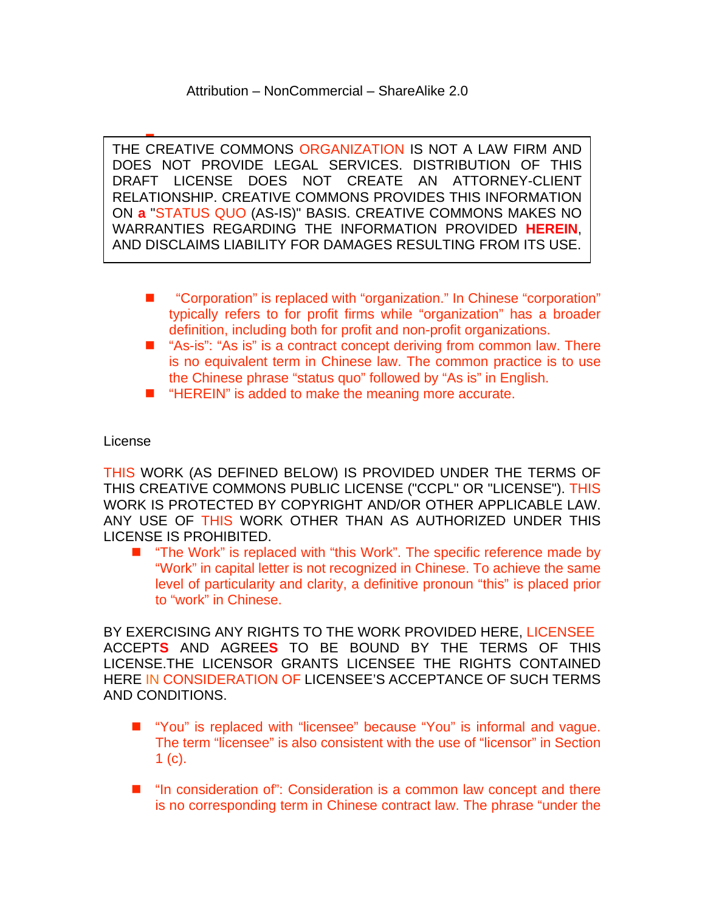$\overline{\phantom{a}}$ . AND DISCLAIMS LIABILITY FOR DAMAGES RESULTING FROM ITS USE. THE CREATIVE COMMONS ORGANIZATION IS NOT A LAW FIRM AND DOES NOT PROVIDE LEGAL SERVICES. DISTRIBUTION OF THIS DRAFT LICENSE DOES NOT CREATE AN ATTORNEY-CLIENT RELATIONSHIP. CREATIVE COMMONS PROVIDES THIS INFORMATION ON **a** "STATUS QUO (AS-IS)" BASIS. CREATIVE COMMONS MAKES NO WARRANTIES REGARDING THE INFORMATION PROVIDED **HEREIN**,

- "Corporation" is replaced with "organization." In Chinese "corporation" typically refers to for profit firms while "organization" has a broader definition, including both for profit and non-profit organizations.
- "As-is": "As is" is a contract concept deriving from common law. There is no equivalent term in Chinese law. The common practice is to use the Chinese phrase "status quo" followed by "As is" in English.
- "HEREIN" is added to make the meaning more accurate.

## License

THIS WORK (AS DEFINED BELOW) IS PROVIDED UNDER THE TERMS OF THIS CREATIVE COMMONS PUBLIC LICENSE ("CCPL" OR "LICENSE"). THIS WORK IS PROTECTED BY COPYRIGHT AND/OR OTHER APPLICABLE LAW. ANY USE OF THIS WORK OTHER THAN AS AUTHORIZED UNDER THIS LICENSE IS PROHIBITED.

■ "The Work" is replaced with "this Work". The specific reference made by "Work" in capital letter is not recognized in Chinese. To achieve the same level of particularity and clarity, a definitive pronoun "this" is placed prior to "work" in Chinese.

BY EXERCISING ANY RIGHTS TO THE WORK PROVIDED HERE, LICENSEE ACCEPT**S** AND AGREE**S** TO BE BOUND BY THE TERMS OF THIS LICENSE.THE LICENSOR GRANTS LICENSEE THE RIGHTS CONTAINED HERE IN CONSIDERATION OF LICENSEE'S ACCEPTANCE OF SUCH TERMS AND CONDITIONS.

- "You" is replaced with "licensee" because "You" is informal and vague. The term "licensee" is also consistent with the use of "licensor" in Section  $1 (c)$ .
- $\blacksquare$  "In consideration of": Consideration is a common law concept and there is no corresponding term in Chinese contract law. The phrase "under the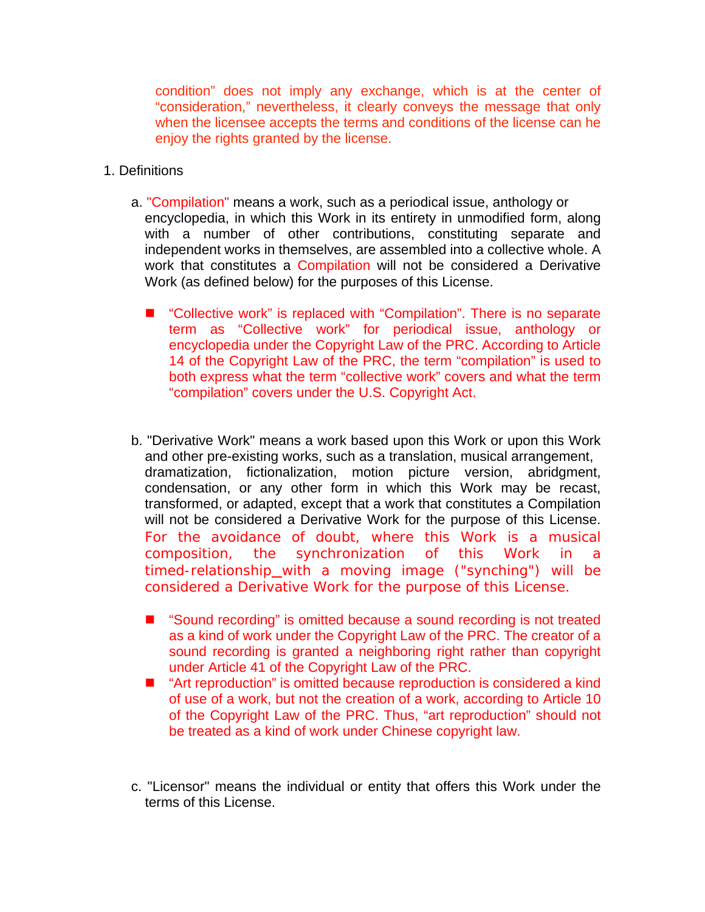condition" does not imply any exchange, which is at the center of "consideration," nevertheless, it clearly conveys the message that only when the licensee accepts the terms and conditions of the license can he enjoy the rights granted by the license.

- 1. Definitions
	- a. "Compilation" means a work, such as a periodical issue, anthology or encyclopedia, in which this Work in its entirety in unmodified form, along with a number of other contributions, constituting separate and independent works in themselves, are assembled into a collective whole. A work that constitutes a Compilation will not be considered a Derivative Work (as defined below) for the purposes of this License.
		- "Collective work" is replaced with "Compilation". There is no separate term as "Collective work" for periodical issue, anthology or encyclopedia under the Copyright Law of the PRC. According to Article 14 of the Copyright Law of the PRC, the term "compilation" is used to both express what the term "collective work" covers and what the term "compilation" covers under the U.S. Copyright Act.
	- b. "Derivative Work" means a work based upon this Work or upon this Work and other pre-existing works, such as a translation, musical arrangement, dramatization, fictionalization, motion picture version, abridgment, condensation, or any other form in which this Work may be recast, transformed, or adapted, except that a work that constitutes a Compilation will not be considered a Derivative Work for the purpose of this License. For the avoidance of doubt, where this Work is a musical composition, the synchronization of this Work in a timed-relationship with a moving image ("synching") will be considered a Derivative Work for the purpose of this License.
		- "Sound recording" is omitted because a sound recording is not treated as a kind of work under the Copyright Law of the PRC. The creator of a sound recording is granted a neighboring right rather than copyright under Article 41 of the Copyright Law of the PRC.
		- "Art reproduction" is omitted because reproduction is considered a kind of use of a work, but not the creation of a work, according to Article 10 of the Copyright Law of the PRC. Thus, "art reproduction" should not be treated as a kind of work under Chinese copyright law.
	- c. "Licensor" means the individual or entity that offers this Work under the terms of this License.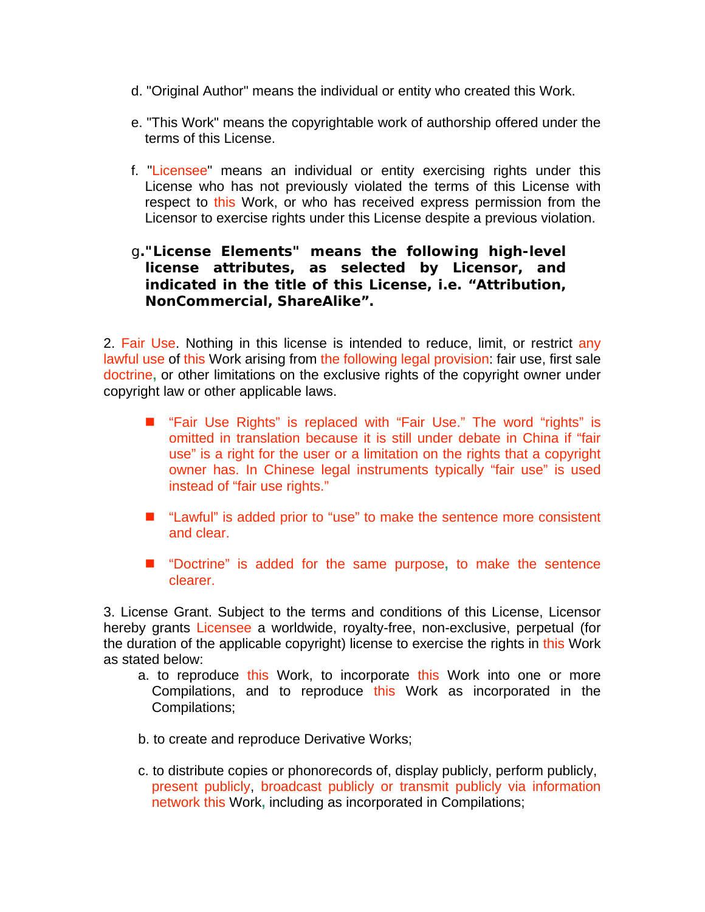- d. "Original Author" means the individual or entity who created this Work.
- e. "This Work" means the copyrightable work of authorship offered under the terms of this License.
- f. "Licensee" means an individual or entity exercising rights under this License who has not previously violated the terms of this License with respect to this Work, or who has received express permission from the Licensor to exercise rights under this License despite a previous violation.

## g**."License Elements" means the following high-level license attributes, as selected by Licensor, and indicated in the title of this License, i.e. "Attribution, NonCommercial, ShareAlike".**

2. Fair Use. Nothing in this license is intended to reduce, limit, or restrict any lawful use of this Work arising from the following legal provision: fair use, first sale doctrine**,** or other limitations on the exclusive rights of the copyright owner under copyright law or other applicable laws.

- "Fair Use Rights" is replaced with "Fair Use." The word "rights" is omitted in translation because it is still under debate in China if "fair use" is a right for the user or a limitation on the rights that a copyright owner has. In Chinese legal instruments typically "fair use" is used instead of "fair use rights."
- "Lawful" is added prior to "use" to make the sentence more consistent and clear.
- "Doctrine" is added for the same purpose, to make the sentence clearer.

3. License Grant. Subject to the terms and conditions of this License, Licensor hereby grants Licensee a worldwide, royalty-free, non-exclusive, perpetual (for the duration of the applicable copyright) license to exercise the rights in this Work as stated below:

- a. to reproduce this Work, to incorporate this Work into one or more Compilations, and to reproduce this Work as incorporated in the Compilations;
- b. to create and reproduce Derivative Works;
- c. to distribute copies or phonorecords of, display publicly, perform publicly, present publicly, broadcast publicly or transmit publicly via information network this Work**,** including as incorporated in Compilations;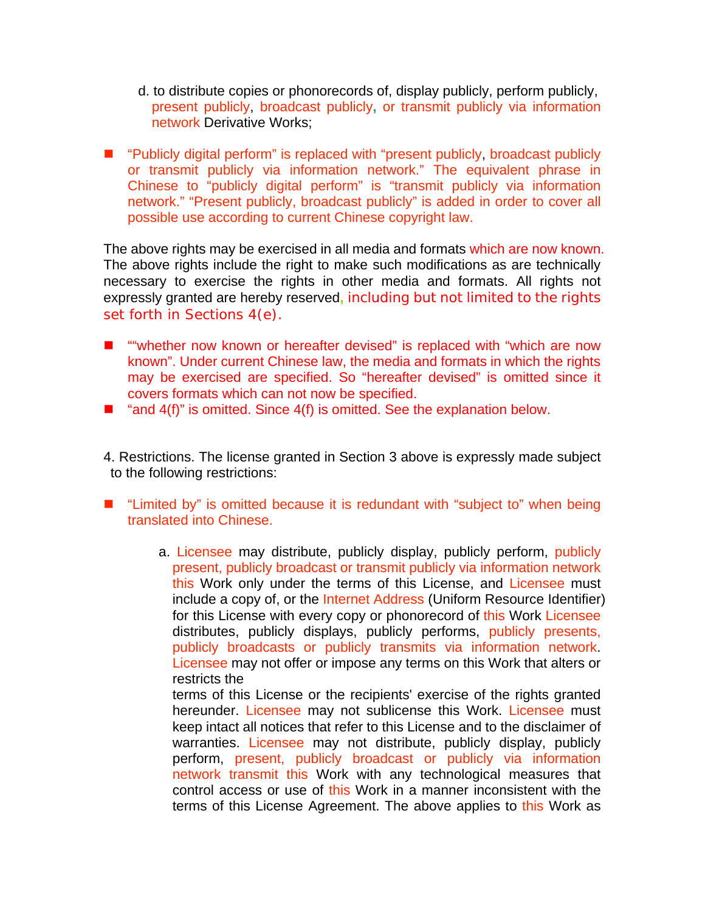- d. to distribute copies or phonorecords of, display publicly, perform publicly, present publicly, broadcast publicly**,** or transmit publicly via information network Derivative Works;
- "Publicly digital perform" is replaced with "present publicly, broadcast publicly or transmit publicly via information network." The equivalent phrase in Chinese to "publicly digital perform" is "transmit publicly via information network." "Present publicly, broadcast publicly" is added in order to cover all possible use according to current Chinese copyright law.

The above rights may be exercised in all media and formats which are now known. The above rights include the right to make such modifications as are technically necessary to exercise the rights in other media and formats. All rights not expressly granted are hereby reserved**,** including but not limited to the rights set forth in Sections 4(e).

- "whether now known or hereafter devised" is replaced with "which are now known". Under current Chinese law, the media and formats in which the rights may be exercised are specified. So "hereafter devised" is omitted since it covers formats which can not now be specified.
- $\blacksquare$  "and 4(f)" is omitted. Since 4(f) is omitted. See the explanation below.
- 4. Restrictions. The license granted in Section 3 above is expressly made subject to the following restrictions:
- "Limited by" is omitted because it is redundant with "subject to" when being translated into Chinese.
	- a. Licensee may distribute, publicly display, publicly perform, publicly present, publicly broadcast or transmit publicly via information network this Work only under the terms of this License, and Licensee must include a copy of, or the Internet Address (Uniform Resource Identifier) for this License with every copy or phonorecord of this Work Licensee distributes, publicly displays, publicly performs, publicly presents, publicly broadcasts or publicly transmits via information network. Licensee may not offer or impose any terms on this Work that alters or restricts the

terms of this License or the recipients' exercise of the rights granted hereunder. Licensee may not sublicense this Work. Licensee must keep intact all notices that refer to this License and to the disclaimer of warranties. Licensee may not distribute, publicly display, publicly perform, present, publicly broadcast or publicly via information network transmit this Work with any technological measures that control access or use of this Work in a manner inconsistent with the terms of this License Agreement. The above applies to this Work as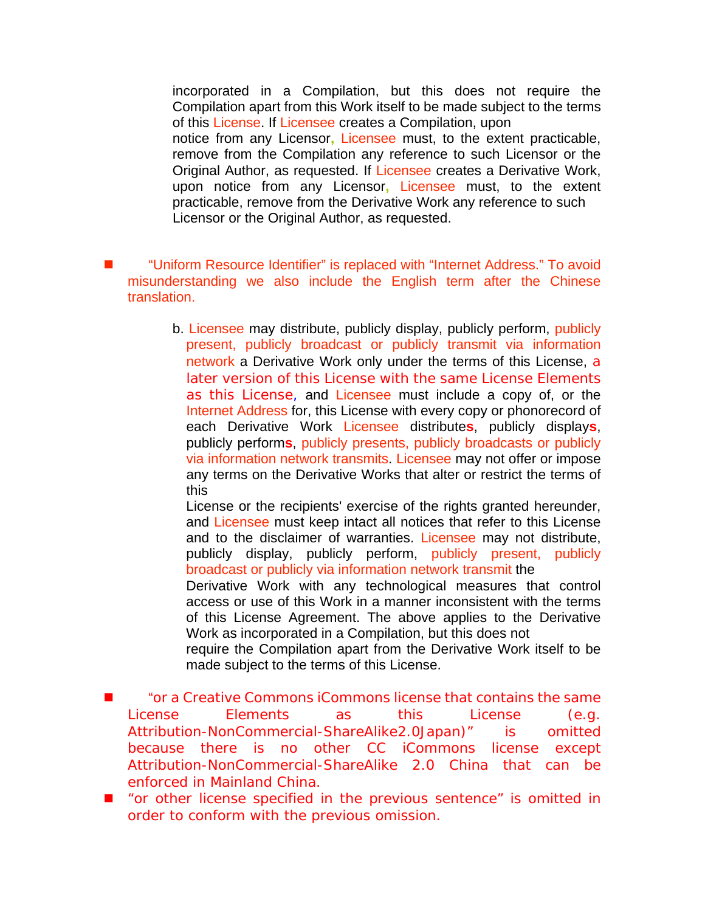incorporated in a Compilation, but this does not require the Compilation apart from this Work itself to be made subject to the terms of this License. If Licensee creates a Compilation, upon notice from any Licensor**,** Licensee must, to the extent practicable, remove from the Compilation any reference to such Licensor or the Original Author, as requested. If Licensee creates a Derivative Work, upon notice from any Licensor**,** Licensee must, to the extent practicable, remove from the Derivative Work any reference to such Licensor or the Original Author, as requested.

- "Uniform Resource Identifier" is replaced with "Internet Address." To avoid misunderstanding we also include the English term after the Chinese translation.
	- b. Licensee may distribute, publicly display, publicly perform, publicly present, publicly broadcast or publicly transmit via information network a Derivative Work only under the terms of this License, a later version of this License with the same License Elements as this License, and Licensee must include a copy of, or the Internet Address for, this License with every copy or phonorecord of each Derivative Work Licensee distribute**s**, publicly display**s**, publicly perform**s**, publicly presents, publicly broadcasts or publicly via information network transmits. Licensee may not offer or impose any terms on the Derivative Works that alter or restrict the terms of this

License or the recipients' exercise of the rights granted hereunder, and Licensee must keep intact all notices that refer to this License and to the disclaimer of warranties. Licensee may not distribute, publicly display, publicly perform, publicly present, publicly broadcast or publicly via information network transmit the

Derivative Work with any technological measures that control access or use of this Work in a manner inconsistent with the terms of this License Agreement. The above applies to the Derivative Work as incorporated in a Compilation, but this does not

require the Compilation apart from the Derivative Work itself to be made subject to the terms of this License.

- "or a Creative Commons iCommons license that contains the same License Elements as this License (e.g. Attribution-NonCommercial-ShareAlike2.0Japan)" is omitted because there is no other CC iCommons license except Attribution-NonCommercial-ShareAlike 2.0 China that can be enforced in Mainland China.
- "or other license specified in the previous sentence" is omitted in order to conform with the previous omission.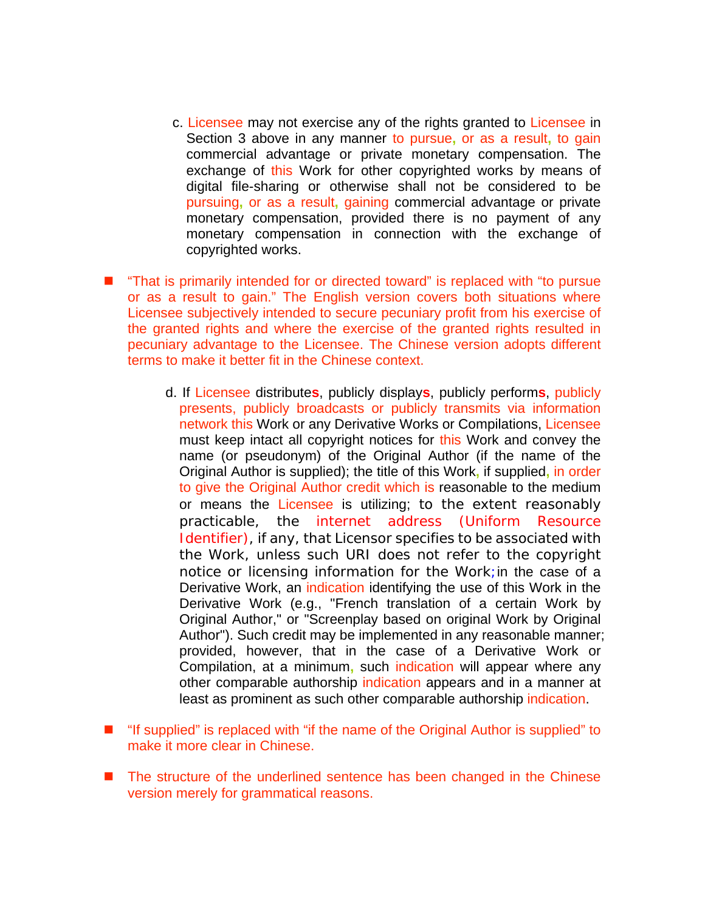- c. Licensee may not exercise any of the rights granted to Licensee in Section 3 above in any manner to pursue**,** or as a result**,** to gain commercial advantage or private monetary compensation. The exchange of this Work for other copyrighted works by means of digital file-sharing or otherwise shall not be considered to be pursuing**,** or as a result**,** gaining commercial advantage or private monetary compensation, provided there is no payment of any monetary compensation in connection with the exchange of copyrighted works.
- "That is primarily intended for or directed toward" is replaced with "to pursue or as a result to gain." The English version covers both situations where Licensee subjectively intended to secure pecuniary profit from his exercise of the granted rights and where the exercise of the granted rights resulted in pecuniary advantage to the Licensee. The Chinese version adopts different terms to make it better fit in the Chinese context.
	- d. If Licensee distribute**s**, publicly display**s**, publicly perform**s**, publicly presents, publicly broadcasts or publicly transmits via information network this Work or any Derivative Works or Compilations, Licensee must keep intact all copyright notices for this Work and convey the name (or pseudonym) of the Original Author (if the name of the Original Author is supplied); the title of this Work**,** if supplied**,** in order to give the Original Author credit which is reasonable to the medium or means the Licensee is utilizing; to the extent reasonably practicable, the internet address (Uniform Resource Identifier), if any, that Licensor specifies to be associated with the Work, unless such URI does not refer to the copyright notice or licensing information for the Work;in the case of a Derivative Work, an indication identifying the use of this Work in the Derivative Work (e.g., "French translation of a certain Work by Original Author," or "Screenplay based on original Work by Original Author"). Such credit may be implemented in any reasonable manner; provided, however, that in the case of a Derivative Work or Compilation, at a minimum**,** such indication will appear where any other comparable authorship indication appears and in a manner at least as prominent as such other comparable authorship indication.
- "If supplied" is replaced with "if the name of the Original Author is supplied" to make it more clear in Chinese.
- The structure of the underlined sentence has been changed in the Chinese version merely for grammatical reasons.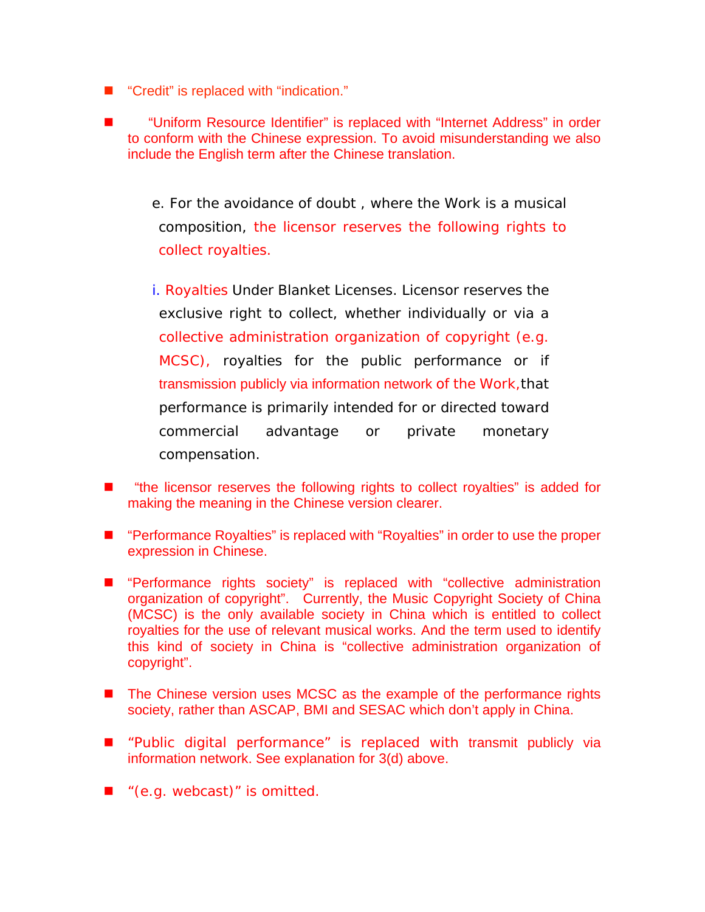- "Credit" is replaced with "indication."
- "Uniform Resource Identifier" is replaced with "Internet Address" in order to conform with the Chinese expression. To avoid misunderstanding we also include the English term after the Chinese translation.
	- e. For the avoidance of doubt , where the Work is a musical composition, the licensor reserves the following rights to collect royalties.
	- i. Royalties Under Blanket Licenses. Licensor reserves the exclusive right to collect, whether individually or via a collective administration organization of copyright (e.g. MCSC), royalties for the public performance or if transmission publicly via information network of the Work,that performance is primarily intended for or directed toward commercial advantage or private monetary compensation.
- "the licensor reserves the following rights to collect royalties" is added for making the meaning in the Chinese version clearer.
- "Performance Royalties" is replaced with "Royalties" in order to use the proper expression in Chinese.
- **E** "Performance rights society" is replaced with "collective administration organization of copyright". Currently, the Music Copyright Society of China (MCSC) is the only available society in China which is entitled to collect royalties for the use of relevant musical works. And the term used to identify this kind of society in China is "collective administration organization of copyright".
- The Chinese version uses MCSC as the example of the performance rights society, rather than ASCAP, BMI and SESAC which don't apply in China.
- $\blacksquare$  "Public digital performance" is replaced with transmit publicly via information network. See explanation for 3(d) above.
- $\blacksquare$  "(e.g. webcast)" is omitted.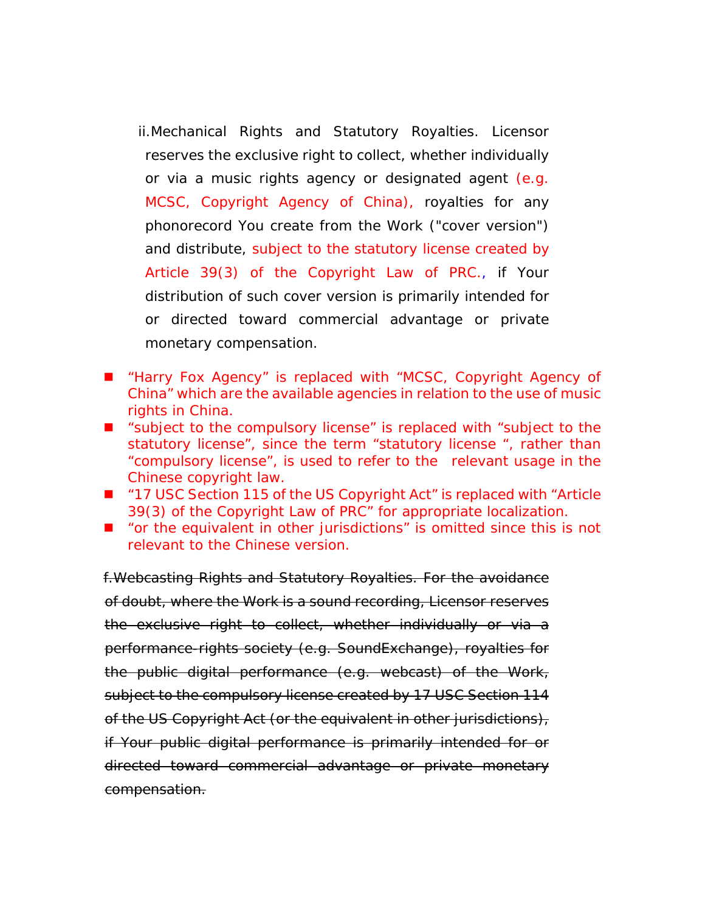ii.Mechanical Rights and Statutory Royalties. Licensor reserves the exclusive right to collect, whether individually or via a music rights agency or designated agent (e.g. MCSC, Copyright Agency of China), royalties for any phonorecord You create from the Work ("cover version") and distribute, subject to the statutory license created by Article 39(3) of the Copyright Law of PRC., if Your distribution of such cover version is primarily intended for or directed toward commercial advantage or private monetary compensation.

- "Harry Fox Agency" is replaced with "MCSC, Copyright Agency of China" which are the available agencies in relation to the use of music rights in China.
- "subject to the compulsory license" is replaced with "subject to the statutory license", since the term "statutory license ", rather than "compulsory license", is used to refer to the relevant usage in the Chinese copyright law.
- $'17$  USC Section 115 of the US Copyright Act" is replaced with "Article 39(3) of the Copyright Law of PRC" for appropriate localization.
- "or the equivalent in other jurisdictions" is omitted since this is not relevant to the Chinese version.

f.Webcasting Rights and Statutory Royalties. For the avoidance of doubt, where the Work is a sound recording, Licensor reserves the exclusive right to collect, whether individually or via a performance-rights society (e.g. SoundExchange), royalties for the public digital performance (e.g. webcast) of the Work, subject to the compulsory license created by 17 USC Section 114 of the US Copyright Act (or the equivalent in other jurisdictions), if Your public digital performance is primarily intended for or directed toward commercial advantage or private monetary compensation.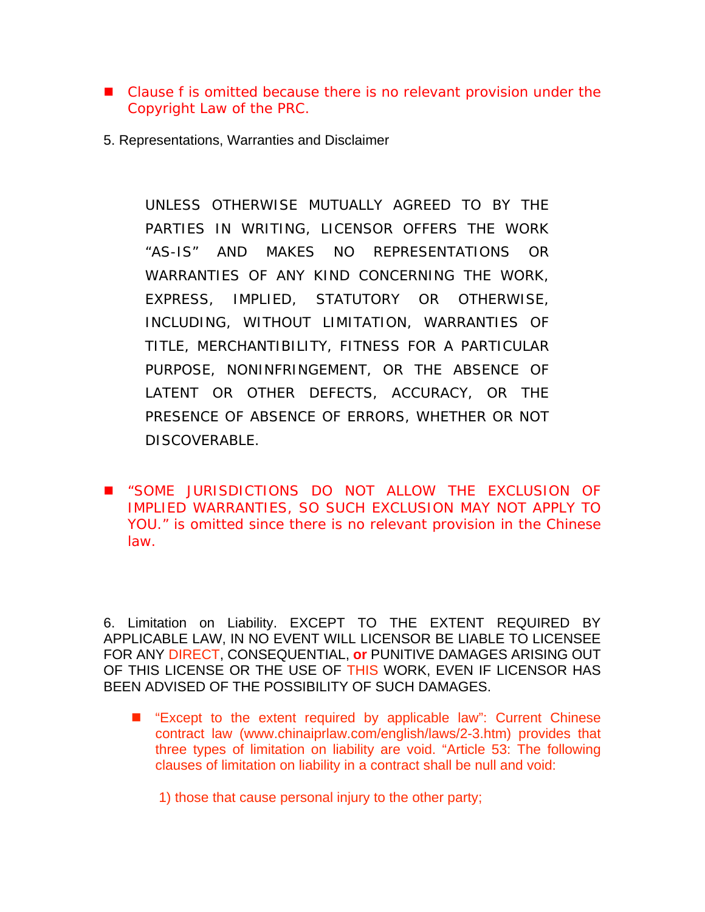- Clause f is omitted because there is no relevant provision under the Copyright Law of the PRC.
- 5. Representations, Warranties and Disclaimer

UNLESS OTHERWISE MUTUALLY AGREED TO BY THE PARTIES IN WRITING, LICENSOR OFFERS THE WORK "AS-IS" AND MAKES NO REPRESENTATIONS OR WARRANTIES OF ANY KIND CONCERNING THE WORK, EXPRESS, IMPLIED, STATUTORY OR OTHERWISE, INCLUDING, WITHOUT LIMITATION, WARRANTIES OF TITLE, MERCHANTIBILITY, FITNESS FOR A PARTICULAR PURPOSE, NONINFRINGEMENT, OR THE ABSENCE OF LATENT OR OTHER DEFECTS, ACCURACY, OR THE PRESENCE OF ABSENCE OF ERRORS, WHETHER OR NOT DISCOVERABLE.

 "SOME JURISDICTIONS DO NOT ALLOW THE EXCLUSION OF IMPLIED WARRANTIES, SO SUCH EXCLUSION MAY NOT APPLY TO YOU." is omitted since there is no relevant provision in the Chinese law.

6. Limitation on Liability. EXCEPT TO THE EXTENT REQUIRED BY APPLICABLE LAW, IN NO EVENT WILL LICENSOR BE LIABLE TO LICENSEE FOR ANY DIRECT, CONSEQUENTIAL, **or** PUNITIVE DAMAGES ARISING OUT OF THIS LICENSE OR THE USE OF THIS WORK, EVEN IF LICENSOR HAS BEEN ADVISED OF THE POSSIBILITY OF SUCH DAMAGES.

■ "Except to the extent required by applicable law": Current Chinese contract law (www.chinaiprlaw.com/english/laws/2-3.htm) provides that three types of limitation on liability are void. "Article 53: The following clauses of limitation on liability in a contract shall be null and void:

1) those that cause personal injury to the other party;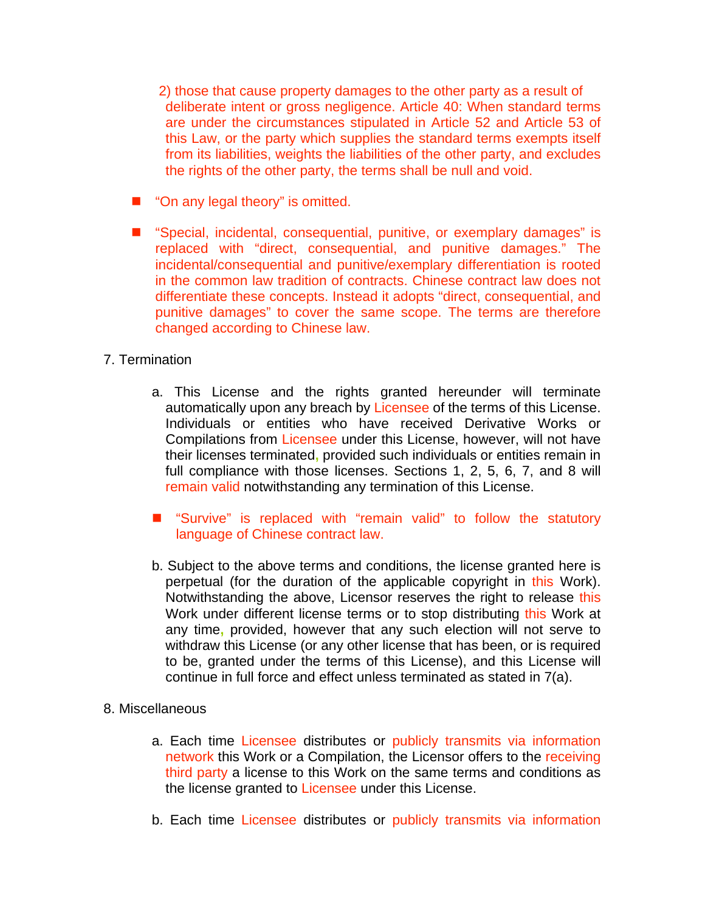2) those that cause property damages to the other party as a result of deliberate intent or gross negligence. Article 40: When standard terms are under the circumstances stipulated in Article 52 and Article 53 of this Law, or the party which supplies the standard terms exempts itself from its liabilities, weights the liabilities of the other party, and excludes the rights of the other party, the terms shall be null and void.

- "On any legal theory" is omitted.
- "Special, incidental, consequential, punitive, or exemplary damages" is replaced with "direct, consequential, and punitive damages." The incidental/consequential and punitive/exemplary differentiation is rooted in the common law tradition of contracts. Chinese contract law does not differentiate these concepts. Instead it adopts "direct, consequential, and punitive damages" to cover the same scope. The terms are therefore changed according to Chinese law.

## 7. Termination

- a. This License and the rights granted hereunder will terminate automatically upon any breach by Licensee of the terms of this License. Individuals or entities who have received Derivative Works or Compilations from Licensee under this License, however, will not have their licenses terminated**,** provided such individuals or entities remain in full compliance with those licenses. Sections 1, 2, 5, 6, 7, and 8 will remain valid notwithstanding any termination of this License.
- "Survive" is replaced with "remain valid" to follow the statutory language of Chinese contract law.
- b. Subject to the above terms and conditions, the license granted here is perpetual (for the duration of the applicable copyright in this Work). Notwithstanding the above, Licensor reserves the right to release this Work under different license terms or to stop distributing this Work at any time**,** provided, however that any such election will not serve to withdraw this License (or any other license that has been, or is required to be, granted under the terms of this License), and this License will continue in full force and effect unless terminated as stated in 7(a).

## 8. Miscellaneous

- a. Each time Licensee distributes or publicly transmits via information network this Work or a Compilation, the Licensor offers to the receiving third party a license to this Work on the same terms and conditions as the license granted to Licensee under this License.
- b. Each time Licensee distributes or publicly transmits via information